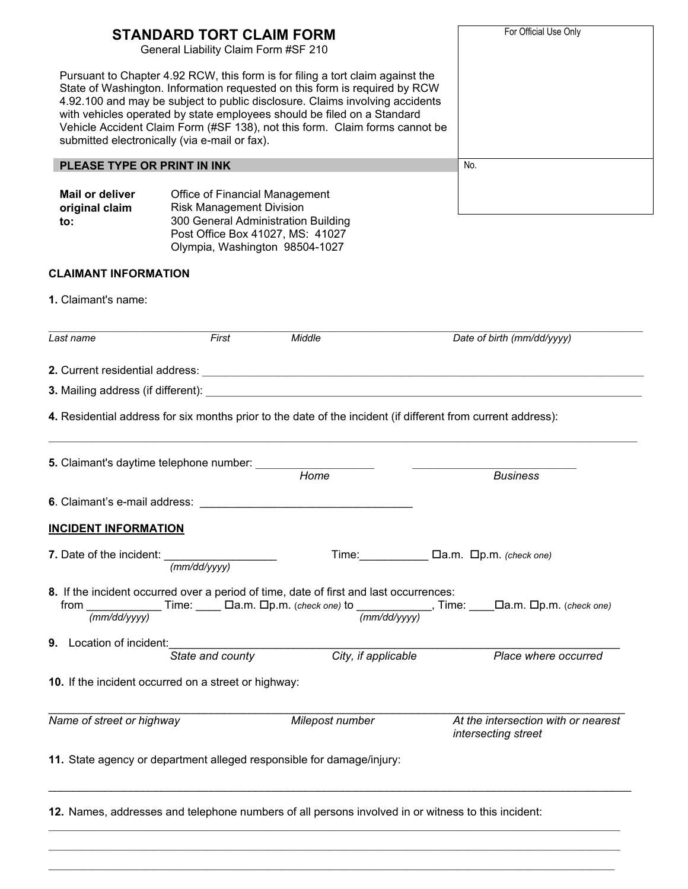| <b>STANDARD TORT CLAIM FORM</b><br>General Liability Claim Form #SF 210 | For Official Use Only                                                                                                                                                                                                         |                                                                                                                                                                                                                                                                                                                                                                                                        |                                                                                                                                                                                                                                                                      |
|-------------------------------------------------------------------------|-------------------------------------------------------------------------------------------------------------------------------------------------------------------------------------------------------------------------------|--------------------------------------------------------------------------------------------------------------------------------------------------------------------------------------------------------------------------------------------------------------------------------------------------------------------------------------------------------------------------------------------------------|----------------------------------------------------------------------------------------------------------------------------------------------------------------------------------------------------------------------------------------------------------------------|
|                                                                         | submitted electronically (via e-mail or fax).                                                                                                                                                                                 | Pursuant to Chapter 4.92 RCW, this form is for filing a tort claim against the<br>State of Washington. Information requested on this form is required by RCW<br>4.92.100 and may be subject to public disclosure. Claims involving accidents<br>with vehicles operated by state employees should be filed on a Standard<br>Vehicle Accident Claim Form (#SF 138), not this form. Claim forms cannot be |                                                                                                                                                                                                                                                                      |
| PLEASE TYPE OR PRINT IN INK                                             | No.                                                                                                                                                                                                                           |                                                                                                                                                                                                                                                                                                                                                                                                        |                                                                                                                                                                                                                                                                      |
| Mail or deliver<br>original claim<br>to:                                | Office of Financial Management<br><b>Risk Management Division</b><br>300 General Administration Building<br>Post Office Box 41027, MS: 41027<br>Olympia, Washington 98504-1027                                                |                                                                                                                                                                                                                                                                                                                                                                                                        |                                                                                                                                                                                                                                                                      |
| <b>CLAIMANT INFORMATION</b>                                             |                                                                                                                                                                                                                               |                                                                                                                                                                                                                                                                                                                                                                                                        |                                                                                                                                                                                                                                                                      |
| 1. Claimant's name:                                                     |                                                                                                                                                                                                                               |                                                                                                                                                                                                                                                                                                                                                                                                        |                                                                                                                                                                                                                                                                      |
| Last name                                                               | First                                                                                                                                                                                                                         | Middle                                                                                                                                                                                                                                                                                                                                                                                                 | Date of birth (mm/dd/yyyy)                                                                                                                                                                                                                                           |
|                                                                         |                                                                                                                                                                                                                               |                                                                                                                                                                                                                                                                                                                                                                                                        |                                                                                                                                                                                                                                                                      |
|                                                                         |                                                                                                                                                                                                                               |                                                                                                                                                                                                                                                                                                                                                                                                        |                                                                                                                                                                                                                                                                      |
|                                                                         |                                                                                                                                                                                                                               | 4. Residential address for six months prior to the date of the incident (if different from current address):                                                                                                                                                                                                                                                                                           |                                                                                                                                                                                                                                                                      |
|                                                                         | 5. Claimant's daytime telephone number: ______                                                                                                                                                                                | Home                                                                                                                                                                                                                                                                                                                                                                                                   | <b>Business</b>                                                                                                                                                                                                                                                      |
|                                                                         | 6. Claimant's e-mail address: example and the set of the set of the set of the set of the set of the set of the set of the set of the set of the set of the set of the set of the set of the set of the set of the set of the |                                                                                                                                                                                                                                                                                                                                                                                                        |                                                                                                                                                                                                                                                                      |
| <b>INCIDENT INFORMATION</b>                                             |                                                                                                                                                                                                                               |                                                                                                                                                                                                                                                                                                                                                                                                        |                                                                                                                                                                                                                                                                      |
| 7. Date of the incident: ____                                           | (mm/dd/yyyy)                                                                                                                                                                                                                  |                                                                                                                                                                                                                                                                                                                                                                                                        | Time:<br>$\Box$ $\Box$ $\Box$ $\Box$ $\Box$ $\Box$ $\Box$ $\Box$ $\Box$ $\Box$ $\Box$ $\Box$ $\Box$ $\Box$ $\Box$ $\Box$ $\Box$ $\Box$ $\Box$ $\Box$ $\Box$ $\Box$ $\Box$ $\Box$ $\Box$ $\Box$ $\Box$ $\Box$ $\Box$ $\Box$ $\Box$ $\Box$ $\Box$ $\Box$ $\Box$ $\Box$ |
| $\overline{(mm/dd/yyyy)}$                                               |                                                                                                                                                                                                                               | 8. If the incident occurred over a period of time, date of first and last occurrences:<br>(mm/dd/vvvv)                                                                                                                                                                                                                                                                                                 | from ________________Time: ______ Da.m. Dp.m. (check one) to _______________, Time: _____Da.m. Dp.m. (check one)                                                                                                                                                     |
| <b>9.</b> Location of incident:                                         | State and county                                                                                                                                                                                                              | City, if applicable                                                                                                                                                                                                                                                                                                                                                                                    | Place where occurred                                                                                                                                                                                                                                                 |
|                                                                         | 10. If the incident occurred on a street or highway:                                                                                                                                                                          |                                                                                                                                                                                                                                                                                                                                                                                                        |                                                                                                                                                                                                                                                                      |
| Name of street or highway                                               |                                                                                                                                                                                                                               | Milepost number                                                                                                                                                                                                                                                                                                                                                                                        | At the intersection with or nearest<br>intersecting street                                                                                                                                                                                                           |
|                                                                         |                                                                                                                                                                                                                               | 11. State agency or department alleged responsible for damage/injury:                                                                                                                                                                                                                                                                                                                                  |                                                                                                                                                                                                                                                                      |
|                                                                         |                                                                                                                                                                                                                               | 12. Names, addresses and telephone numbers of all persons involved in or witness to this incident:                                                                                                                                                                                                                                                                                                     |                                                                                                                                                                                                                                                                      |
|                                                                         |                                                                                                                                                                                                                               |                                                                                                                                                                                                                                                                                                                                                                                                        |                                                                                                                                                                                                                                                                      |

 $\mathcal{L}_\mathcal{L} = \{ \mathcal{L}_\mathcal{L} = \{ \mathcal{L}_\mathcal{L} = \{ \mathcal{L}_\mathcal{L} = \{ \mathcal{L}_\mathcal{L} = \{ \mathcal{L}_\mathcal{L} = \{ \mathcal{L}_\mathcal{L} = \{ \mathcal{L}_\mathcal{L} = \{ \mathcal{L}_\mathcal{L} = \{ \mathcal{L}_\mathcal{L} = \{ \mathcal{L}_\mathcal{L} = \{ \mathcal{L}_\mathcal{L} = \{ \mathcal{L}_\mathcal{L} = \{ \mathcal{L}_\mathcal{L} = \{ \mathcal{L}_\mathcal{$